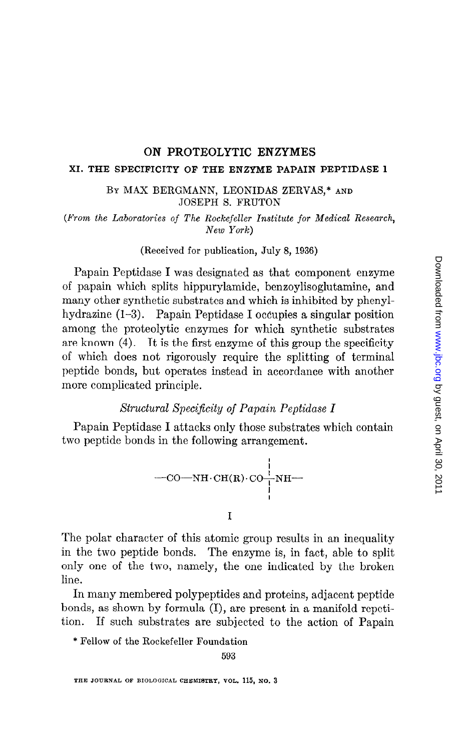### ON PROTEOLYTIC ENZYMES

#### XI. THE SPECIFICITY OF THE ENZYME PAPAIN PEPTIDASE 1

BY MAX BERGMANN, LEONIDAS ZERVAS,\* AND JOSEPH S. FRUTON

(From the Laboratories of The Rockefeller Institute for Medical Research, New York)

(Received for publication, July 8, 1936)

Papain Peptidase I was designated as that component enzyme of papain which splits hippurylamide, benzoylisoglutamine, and many other synthetic substrates and which is inhibited by phenylhydrazine (1-3). Papain Peptidase I occupies a singular position among the proteolytic enzymes for which synthetic substrates are known (4). It is the first enzyme of this group the specificity of which does not rigorously require the splitting of terminal peptide bonds, but operates instead in accordance with another more complicated principle.

# Structural Specificity of Papain Peptidase I

Papain Peptidase I attacks only those substrates which contain two peptide bonds in the following arrangement.



I

The polar character of this atomic group results in an inequality in the two peptide bonds. The enzyme is, in fact, able to split only one of the fwo, namely, the one indicated by the broken line.

In many membered polypeptides and proteins, adjacent peptide bonds, as shown by formula (I), are present in a manifold repetition. If such substrates are subjected to the action of Papain

\* Fellow of the Rockefeller Foundation

593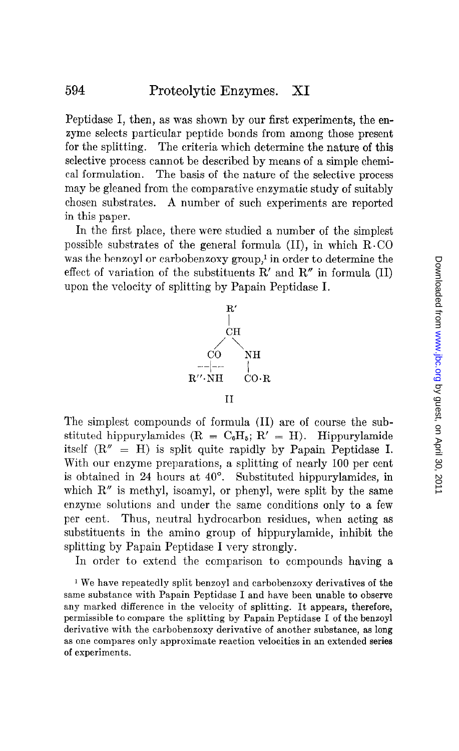Peptidase I, then, as was shown by our first experiments, the enzyme selects particular peptide bonds from among those present for the splitting. The criteria which determine the nature of this selective process cannot be described by means of a simple chemical formulation. The basis of the nature of the selective process may be gleaned from the comparative enzymatic study of suitably chosen substrates. A number of such experiments are reported in this paper.

In the first place, there were studied a number of the simplest possible substrates of the general formula  $(II)$ , in which  $R$ . CO was the benzoyl or carbobenzoxy group,' in order to determine the effect of variation of the substituents  $R'$  and  $R''$  in formula (II) upon the velocity of splitting by Papain Peptidase I.



The simplest compounds of formula (II) are of course the substituted hippurylamides  $(R = C_0H_5; R' = H)$ . Hippurylamide itself  $(R'' = H)$  is split quite rapidly by Papain Peptidase I. With our enzyme preparations, a splitting of nearly 100 per cent is obtained in 24 hours at  $40^\circ$ . Substituted hippurylamides, in which  $R''$  is methyl, isoamyl, or phenyl, were split by the same enzyme solutions and under the same conditions only to a few per cent. Thus, neutral hydrocarbon residues, when acting as substituents in the amino group of hippurylamide, inhibit the splitting by Papain Peptidase I very strongly.

In order to extend the comparison to compounds having a

<sup>1</sup> We have repeatedly split benzoyl and carbobenzoxy derivatives of the same substance with Papain Peptidase I and have been unable to observe any marked difference in the velocity of splitting. It appears, therefore, permissible to compare the splitting by Papain Peptidase I of the bensoyl derivative with the carbobenzoxy derivative of another substance, as long as one compares only approximate reaction velocities in an extended series of experiments.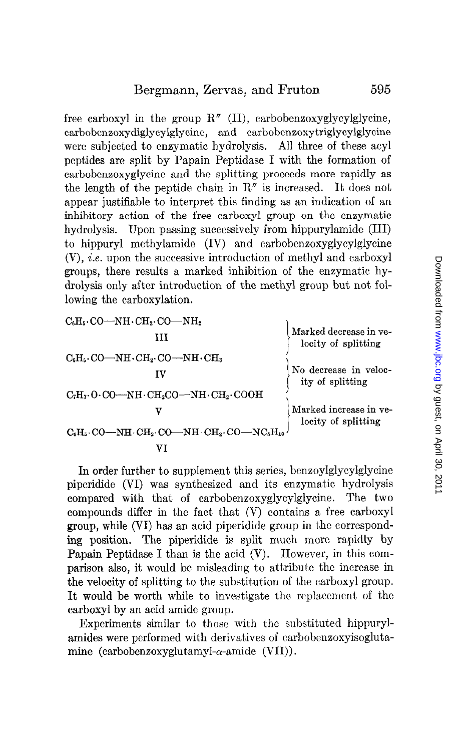free carboxyl in the group  $R''$  (II), carbobenzoxyglycylglycine, carbobenzoxydiglyeylglycine, and carbobenzoxytriglycylglycine were subjected to enzymatic hydrolysis. All three of these acyl peptides are split by Papain Peptidase I with the formation of carbobenzoxyglycine and the splitting proceeds more rapidly as the length of the peptide chain in R" is increased. It does not appear justifiable to interpret this finding as an indication of an inhibitory action of the free carboxyl group on the enzymatic hydrolysis. Upon passing successively from hippurylamide (III) to hippuryl methylamide (IV) and carbobenzoxyglycylglycine (V), i.e. upon the successive introduction of methyl and carboxyl groups, there results a marked inhibition of the enzymatic hydrolysis only after introduction of the methyl group but not following the carboxylation.

| $\rm C_6H_5\!\cdot\!CO\!\!-\!\!NH\!\cdot\!CH_2\!\cdot\!CO\!\!-\!\!NH_2$                                            |                                               |
|--------------------------------------------------------------------------------------------------------------------|-----------------------------------------------|
| ш                                                                                                                  | Marked decrease in ve-<br>locity of splitting |
| $\rm C_6H_5 \cdot CO \rightarrow NH \cdot CH_2 \cdot CO \rightarrow NH \cdot CH_3$                                 |                                               |
|                                                                                                                    | No decrease in veloc-<br>ity of splitting     |
| $C_7H_7$ O $CO$ —NH $CH_2CO$ —NH $CH_3$ COOH                                                                       |                                               |
|                                                                                                                    | Marked increase in ve-<br>locity of splitting |
| $\rm C_6H_5 \cdot CO \rightarrow NH \cdot CH_2 \cdot CO \rightarrow NH \cdot CH_2 \cdot CO \rightarrow NC_6H_{10}$ |                                               |
|                                                                                                                    |                                               |

In order further to supplement this series, benzoylglycylglycine piperidide (VI) was synthesized and its enzymatic hydrolysis compared with that of carbobenzoxyglycylglycine. The two compounds differ in the fact that (V) contains a free carboxyl group, while (VI) has an acid piperidide group in the correspondgroup, while  $\begin{pmatrix} y & j \\ k & k \end{pmatrix}$  has an acid piperidide group in the correspondpaparam Peptidas Space I than in the acid (V). However, in the according of the com-Papain Peptidase I than is the acid  $(V)$ . However, in this comparison also, it would be misleading to attribute the increase in the velocity of splitting to the substitution of the carboxyl group. It would be worth while to investigate the replacement of the carboxyl by an acid amide group.  $\sum_{i=1}^{\infty}$  for the substituted hippuryl-

**Experiments** similar to those with the substituted inpotryamides were performed with derivatives of carbobenzoxyisogluta-<br>mine (carbobenzoxyglutamyl- $\alpha$ -amide (VII)).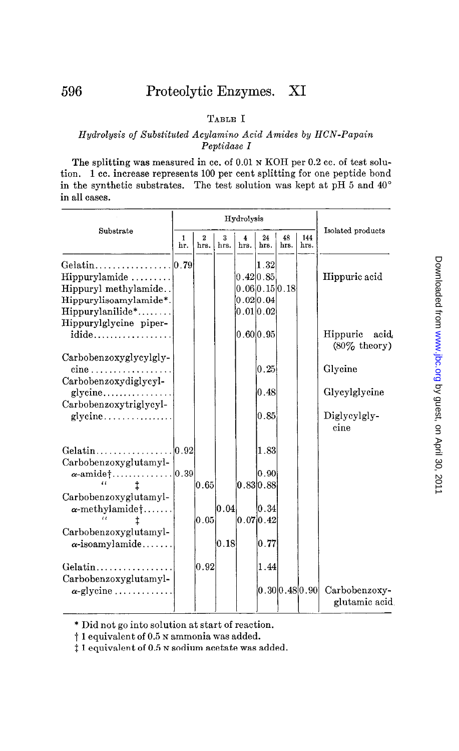## TABLE I

#### Hydrolysis of Substituted Acylamino Acid Amides by HCN-Papain Peptidase I

The splitting was measured in cc. of 0.01 N KOH per 0.2 cc. of test solution. 1 cc. increase represents 100 per cent splitting for one peptide bond in the synthetic substrates. The test solution was kept at pH 5 and 40" in all cases.

|                                                                                                                                                                | Hydrolysis |                     |           |           |                                                                                                               |            |                     |                                   |
|----------------------------------------------------------------------------------------------------------------------------------------------------------------|------------|---------------------|-----------|-----------|---------------------------------------------------------------------------------------------------------------|------------|---------------------|-----------------------------------|
| Substrate                                                                                                                                                      | 1<br>hг.   | 2<br>hrs.           | 3<br>hrs. | 4<br>hrs. | 24<br>hrs.                                                                                                    | 48<br>hrs. | 144<br>hrs.         | Isolated products                 |
| Gelatin $\ldots \ldots \ldots \ldots \ldots$ . 10.79<br>$Hippurylamide$<br>Hippuryl methylamide<br>Hippurylisoamylamide*.<br>$Hippurylanilide*. \ldots \ldots$ |            |                     |           |           | $\left 1\right. .32\right $<br>$\vert 0\,.42 \vert 0\,.85 \vert$<br> 0.06 0.15 0.18 <br>0.020.04<br>0.01 0.02 |            |                     | Hippuric acid                     |
| Hippurylglycine piper-<br>idide                                                                                                                                |            |                     |           |           | 0.60 0.95                                                                                                     |            |                     | Hippuric acid.<br>$(80\%$ theory) |
| Carbobenzoxyglycylgly-<br>$cine$                                                                                                                               |            |                     |           |           | 0.25                                                                                                          |            |                     | Glycine                           |
| Carbobenzoxydiglycyl-<br>glycine<br>Carbobenzoxytriglycyl-                                                                                                     |            |                     |           |           | 0.48                                                                                                          |            |                     | Glycylglycine                     |
| glveine                                                                                                                                                        |            |                     |           |           | 0.85                                                                                                          |            |                     | Diglycylgly-<br>cine              |
| Gelatin<br>Carbobenzoxyglutamyl-                                                                                                                               | . 10.921   |                     |           |           | 1.83                                                                                                          |            |                     |                                   |
| $\alpha$ -amide $\dots \dots \dots \dots \dots  0.39$<br>$\epsilon$                                                                                            |            | $\vert 0.65 \vert$  |           |           | 0.90 <br> 0.83 0.88                                                                                           |            |                     |                                   |
| Carbobenzoxyglutamyl-<br>$\alpha$ -methylamide†                                                                                                                |            | $\left[0.05\right]$ | 0.04      |           | $\vert 0.34 \vert$<br> 0.07 0.42                                                                              |            |                     |                                   |
| Carbobenzoxyglutamyl-<br>$\alpha$ -isoamylamide                                                                                                                |            |                     | 0.18      |           | 0.77                                                                                                          |            |                     |                                   |
| $Gelatin \ldots $<br>Carbobenzoxyglutamyl-                                                                                                                     |            | 0.92                |           |           | 1.44                                                                                                          |            |                     |                                   |
| $\alpha$ -glycine                                                                                                                                              |            |                     |           |           |                                                                                                               |            | lo .30lo .48lo .90l | Carbobenzoxy-<br>glutamic acid    |

\* Did not go into solution at start of reaction.

t 1 equivalent of 0.5 N ammonia was added.

 $\ddagger$  1 equivalent of 0.5 N sodium acetate was added.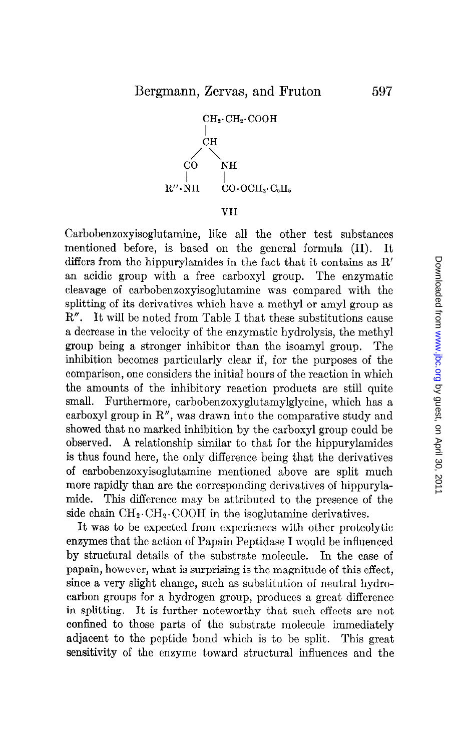

VII

Carbobenzoxyisoglutamine, like all the other test substances mentioned before, is based on the general formula (II). It differs from the hippurylamides in the fact that it contains as R' an acidic group with a free carboxyl group. The enzymatic cleavage of carbobenzoxyisoglutamine was compared with the splitting of its derivatives which have a methyl or amyl group as R". It will be noted from Table I that these substitutions cause a decrease in the velocity of the enzymatic hydrolysis, the methyl group being a stronger inhibitor than the isoamyl group. The inhibition becomes particularly clear if, for the purposes of the comparison, one considers the initial hours of the reaction in which the amounts of the inhibitory reaction products are still quite small. Furthermore, carbobenzoxyglutamylglycine, which has a carboxyl group in R", was drawn into the comparative study and showed that no marked inhibition by the carboxyl group could be observed. A relationship similar to that for the hippurylamides is thus found here, the only difference being that the derivatives of carbobenzoxyisoglutamine mentioned above are split much more rapidly than are the corresponding derivatives of hippurylamide. This difference may be attributed to the presence of the side chain  $\text{CH}_2\text{-}\text{CH}_2\text{-}\text{coOH}$  in the isoglutamine derivatives.

It was to be expected from experiences with other proteolytic enzymes that the action of Papain Peptidase I would be influenced by structural details of the substrate molecule. In the case of papain, however, what is surprising is the magnitude of this effect, since a very slight change, such as substitution of neutral hydrocarbon groups for a hydrogen group, produces a great difference in splitting. It is further noteworthy that such effects are not confined to those parts of the substrate molecule immediately adjacent to the peptide bond which is to be split. This great sensitivity of the enzyme toward structural influences and the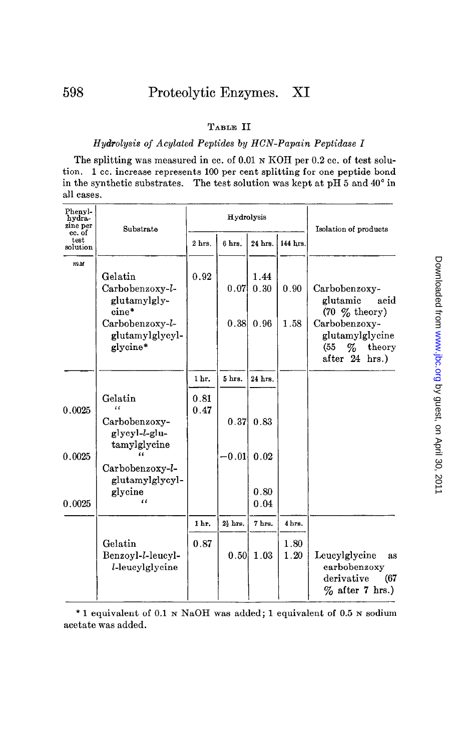### TABLE II

#### Hydrolysis of Acylated Peptides by HCN-Papain Peptidase I

The splitting was measured in cc. of 0.01 N KOH per 0.2 cc. of test solution. 1 cc. increase represents 100 per cent splitting for one peptide bond in the synthetic substrates. The test solution was kept at pH 5 and 40" in all cases.

| Phenyl-<br>hydra-<br>zine per | Substrate                                       | Hydrolysis   |                     |         |              | Isolation of products                                                           |  |  |  |
|-------------------------------|-------------------------------------------------|--------------|---------------------|---------|--------------|---------------------------------------------------------------------------------|--|--|--|
| cc. of<br>test<br>solution    |                                                 | 2 hrs.       | 6 hrs.              | 24 hrs. | 144 hrs.     |                                                                                 |  |  |  |
| $m$ $M$                       | Gelatin                                         | 0.92         |                     | 1.44    |              |                                                                                 |  |  |  |
|                               | Carbobenzoxy-l-<br>glutamylgly-<br>cine*        |              | 0.07                | 0.30    | 0.90         | Carbobenzoxy-<br>glutamic<br>acid<br>$(70 \, \%$ theory)                        |  |  |  |
|                               | Carbobenzoxy-l-<br>glutamylglycyl-<br>glycine*  |              | 0.38                | 0.96    | 1.58         | Carbobenzoxy-<br>glutamylglycine<br>theory<br>(55<br>$\%$<br>after 24 hrs.)     |  |  |  |
|                               |                                                 | 1 hr.        | 5 hrs.              | 24 hrs. |              |                                                                                 |  |  |  |
| 0.0025                        | Gelatin<br>$\epsilon$                           | 0.81<br>0.47 |                     |         |              |                                                                                 |  |  |  |
|                               | Carbobenzoxy-<br>glycyl-l-glu-<br>tamylglycine  |              | 0.37                | 0.83    |              |                                                                                 |  |  |  |
| 0.0025                        |                                                 |              | $-0.01$             | 0.02    |              |                                                                                 |  |  |  |
|                               | Carbobenzoxy-l-<br>glutamylglycyl-              |              |                     | 0.80    |              |                                                                                 |  |  |  |
| 0.0025                        | glycine<br>$\epsilon$                           |              |                     | 0.04    |              |                                                                                 |  |  |  |
|                               |                                                 | 1 hr.        | $2\frac{1}{2}$ hrs. | 7 hrs.  | 4 hrs.       |                                                                                 |  |  |  |
|                               | Gelatin<br>Benzoyl-l-leucyl-<br>l-leucylglycine | 0.87         | 0.50                | 1.03    | 1.80<br>1.20 | Leucylglycine<br>as<br>carbobenzoxy<br>derivative<br>(67)<br>$\%$ after 7 hrs.) |  |  |  |

\* 1 equivalent of 0.1 N NaOH was added; 1 equivalent of 0.5 N sodium acetate was added.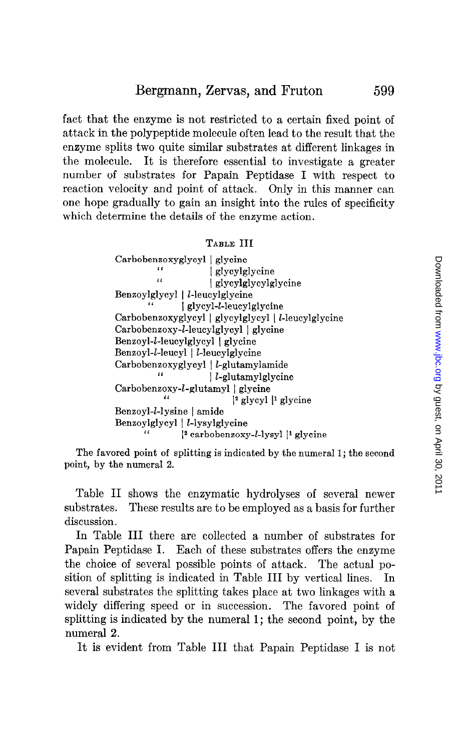fact that the enzyme is not restricted to a certain fixed point of attack in the polypeptide molecule often lead to the result that the enzyme splits two quite similar substrates at different linkages in the molecule. It is therefore essential to investigate a greater number of substrates for Papain Peptidase I with respect to reaction velocity and point of attack. Only in this manner can one hope gradually to gain an insight into the rules of specificity which determine the details of the enzyme action.

#### TABLE III

Carbobenzoxyglycyl | glycine<br>
'a' | glycylglycine<br>
'a' | glycylglycylglycine<br>
| glycylglycylglycine Benzoylglycyl | *l*-leucylglycine<br>
" | glycyl-*l*-leucylglycine Carbobenzoxyglycyl 1 glycylglycyl 1 I-leucylglycine Carbobenzoxy-l-leucylglycyl | glycine Benzoyl-*l*-leucylglycyl | glycine Benzoyl-l-leucyl | l-leucylglycine Carbobenzoxyglycyl |  $l$ -glutamylamide<br>  $l$ -glutamylglycine Carbobenzoxy-*l*-glutamyl | glycine  $\frac{12 \text{ glycyl}}{1 \text{ glycyl}}$  | glycine Benzoyl-l-lysine | amide Benzoylglycyl |  $l$ -lysylglycine<br>  $\frac{2}{l}$  carbobenzoxy- $l$ -lysyl |<sup>1</sup> glycine

The favored point of splitting is indicated by the numeral 1; the second point, by the numeral 2.

Table II shows the enzymatic hydrolyses of several newer substrates. These results are to be employed as a basis for further discussion.

In Table III there are collected a number of substrates for Papain Peptidase I. Each of these substrates offers the enzyme the choice of several possible points of attack. The actual position of splitting is indicated in Table III by vertical lines. In several substrates the splitting takes place at two linkages with a widely differing speed or in succession. The favored point of splitting is indicated by the numeral 1; the second point, by the numeral 2.

It is evident from Table III that Papain Peptidase I is not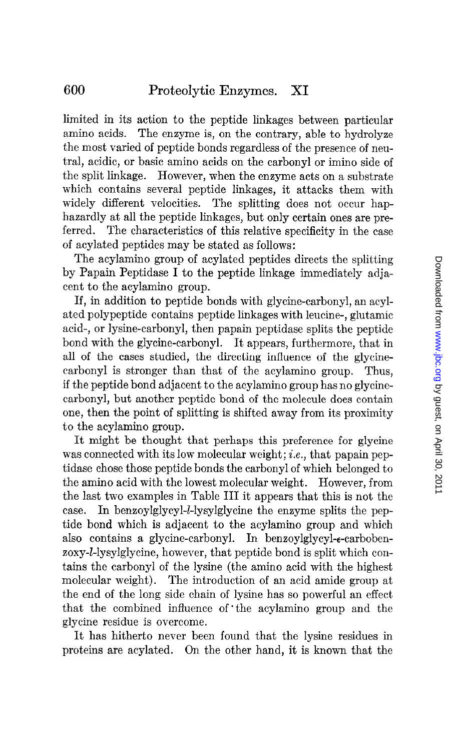limited in its action to the peptide linkages between particular amino acids. The enzyme is, on the contrary, able to hydrolyze the most varied of peptide bonds regardless of the presence of neutral, acidic, or basic amino acids on the carbonyl or imino side of the split linkage. However, when the enzyme acts on a substrate which contains several peptide linkages, it attacks them with widely different velocities. The splitting does not occur haphazardly at all the peptide linkages, but only certain ones are preferred. The characteristics of this relative specificity in the case of acylated peptides may be stated as follows:

The acylamino group of acylated peptides directs the splitting by Papain Peptidase I to the peptide linkage immediately adjacent to the acylamino group.

If, in addition to peptide bonds with glycine-carbonyl, an acylatcd polypeptide contains peptide linkages with leucine-, glutamic acid-, or lysine-carbonyl, then papain peptidase splits the peptide bond with the glycine-carbonyl. It appears, furthermore, that in all of the cases studied, the directing influence of the glycinecarbonyl is stronger than that of the acylamino group. Thus, if the peptide bond adjacent to the acylamino group has no glycinecarbonyl, but another peptide bond of the molecule does contain one, then the point of splitting is shifted away from its proximity to the acylamino group.

It might be thought that perhaps this preference for glycine was connected with its low molecular weight; *i.e.*, that papain peptidase chose those peptide bonds the carbonyl of which belonged to the amino acid with the lowest molecular weight. However, from the last two examples in Table III it appears that this is not the case. In benzoylglycyl-l-lysylglycine the enzyme splits the peptide bond which is adjacent to the acylamino group and which also contains a glycine-carbonyl. In benzoylglycyl-e-carbobenzoxy-l-lysylglycine, however, that peptide bond is split which contains the carbonyl of the lysine (the amino acid with the highest molecular weight). The introduction of an acid amide group at the end of the long side chain of lysine has so powerful an effect that the combined influence of the acylamino group and the glycine residue is overcome.

It has hitherto never been found that the lysine residues in proteins are acylated. On the other hand, it is known that the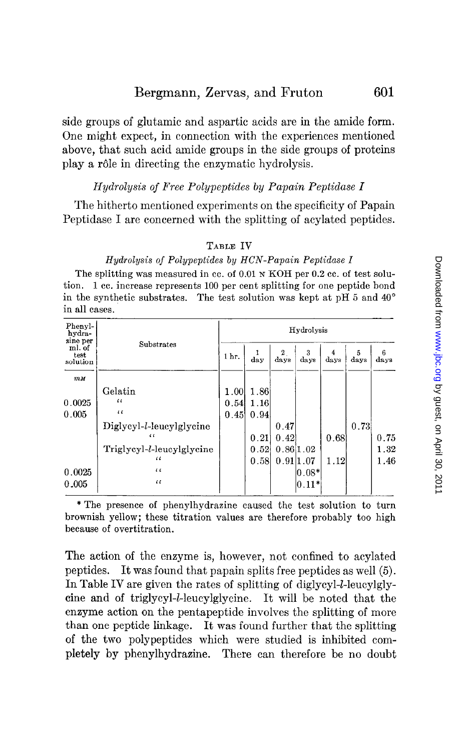side groups of glutamic and aspartic acids are in the amide form. One might expect, in connection with the experiences mentioned above, that such acid amide groups in the side groups of proteins play a rôle in directing the enzymatic hydrolysis.

### Hydrolysis of Free Polypeptides by Papain Peptidase I

The hitherto mentioned experiments on the specificity of Papain Peptidase I are concerned with the splitting of acylated peptides.

### TABLE IV

#### Hydrolysis of Polypeptides by HCN-Papain Peptidase I

The splitting was measured in cc. of 0.01 N KOH per 0.2 cc. of test solution. 1 cc. increase represents 100 per cent splitting for one peptide bond in the synthetic substrates. The test solution was kept at  $pH$  5 and  $40^{\circ}$ in all cases.

| Phenyl-<br>hydra-                      |                                   | Hydrolysis |      |                      |                  |           |           |           |  |
|----------------------------------------|-----------------------------------|------------|------|----------------------|------------------|-----------|-----------|-----------|--|
| zine per<br>ml. of<br>test<br>solution | Substrates                        |            | day  | $\mathbf{2}$<br>days | 3<br>days        | 4<br>days | 5<br>days | 6<br>days |  |
| $m$ $M$                                |                                   |            |      |                      |                  |           |           |           |  |
|                                        | Gelatin                           | 1.00       | 1.86 |                      |                  |           |           |           |  |
| 0.0025                                 | $\iota$                           | 0.54       | 1,16 |                      |                  |           |           |           |  |
| 0.005                                  | $\epsilon$                        | 0.45       | 0.94 |                      |                  |           |           |           |  |
|                                        | Diglycyl- <i>l</i> -leucylglycine |            |      | 0.47                 |                  |           | 0.73      |           |  |
|                                        | $\epsilon$                        |            | 0.21 | 0.42                 |                  | 0.68      |           | 0.75      |  |
|                                        | Triglycyl-l-leucylglycine         |            | 0.52 | 0.861.02             |                  |           |           | 1.32      |  |
|                                        | $\iota$                           |            | 0.58 | 0.911.07             |                  | 1.12      |           | 1.46      |  |
| 0.0025                                 | $\epsilon$                        |            |      |                      | $ 0.08*$         |           |           |           |  |
| 0.005                                  | $\epsilon$                        |            |      |                      | $\vert 0.11^{*}$ |           |           |           |  |

\*The presence of phenylhydrazine caused the test solution to turn brownish yellow; these titration values are therefore probably too high because of overtitration.

The action of the enzyme is, however, not confined to acylated peptides. It was found that papain splits free peptides as well (5). In Table IV are given the rates of splitting of diglycyl-*l*-leucylglytine and of triglycyl-Z-leucylglycine. It will be noted that the enzyme action on the pentapeptide involves the splitting of more than one peptide linkage. It was found further that the splitting of the two polypeptides which were studied is inhibited completely by phenylhydrazine. There can therefore be no doubt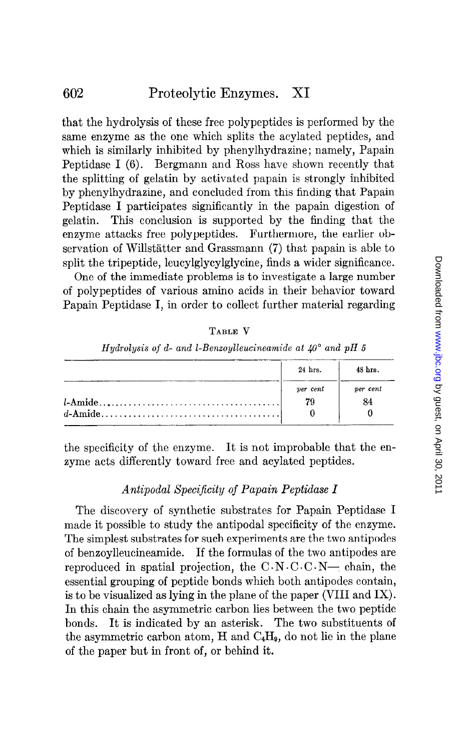that the hydrolysis of these free polypeptides is performed by the same enzyme as the one which splits the acylated peptides, and which is similarly inhibited by phenylhydrazine; namely, Papain Peptidase I (6). Bergmann and Ross have shown recently that the splitting of gelatin by activated papain is strongly inhibited by phenylhydrazine, and concluded from this finding that Papain Peptidase I participates significantly in the papain digestion of gelatin. This conclusion is supported by the finding that the enzyme attacks free polypeptides. Furthermore, the earlier observation of Willstatter and Grassmann (7) that papain is able to split the tripeptide, leucylglycylglycine, finds a wider significance.

One of the immediate problems is to investigate a large number of polypeptides of various amino acids in their behavior toward Papain Peptidase I, in order to collect further material regarding

| RL I<br>ю |
|-----------|
|-----------|

Hydrolysis of d- and l-Benzoylleucineamide at  $40^{\circ}$  and pH 5

| 24 hrs.    | 48 hrs.  |
|------------|----------|
| $per$ cent | per cent |
| 79         | 84       |

the specificity of the enzyme. It is not improbable that the enzyme acts differently toward free and acylated peptides.

# Antipodal Specificity of Papain Peptidase I

The discovery of synthetic substrates for Papain Peptidase I made it possible to study the antipodal specificity of the enzyme. The simplest substrates for such experiments are the two antipodes of benzoylleucineamide. If the formulas of the two antipodes are reproduced in spatial projection, the  $C \cdot N \cdot C \cdot C \cdot N$ - chain, the essential grouping of peptide bonds which both antipodes contain, is to be visualized as lying in the plane of the paper (VIII and IX). In this chain the asymmetric carbon lies between the two peptide bonds. It is indicated by an asterisk. The two substituents of the asymmetric carbon atom,  $H$  and  $C_4H_9$ , do not lie in the plane of the paper but in front of, or behind it.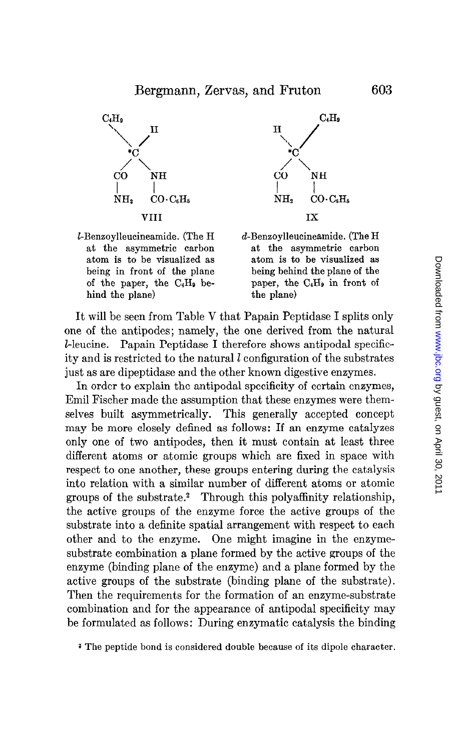

 $l$ -Benzoylleucineamide. (The H  $d$ -Benzoylleucineamide. (The H hind the plane) the plane



at the asymmetric carbon at the asymmetric carbon atom is to be visualized as atom is to be visualized as being in front of the plane being behind the plane of the of the paper, the  $C_4H_9$  be- paper, the  $C_4H_9$  in front of

It will be seen from Table V that Papain Peptidase I splits only one of the antipodes; namely, the one derived from the natural Z-leucine. Papain Peptidase I therefore shows antipodal specificity and is restricted to the natural  $l$  configuration of the substrates just as are dipeptidase and the other known digestive enzymes.

In order to explain the antipodal specificity of certain enzymes, Emil Fischer made the assumption that these enzymes were themselves built asymmetrically. This generally accepted concept may be more closely defined as follows: If an enzyme catalyzes only one of two antipodes, then it must contain at least three different atoms or atomic groups which are fixed in space with respect to one another, these groups entering during the catalysis into relation with a similar number of different atoms or atomic groups of the substrate.2 Through this polyaffinity relationship,  $t_{\text{t}}$  and  $\alpha$  active groups of the environmental  $\alpha$  and  $\alpha$  the active groups of the active groups of the active groups of the active groups of the active groups of the active groups of the active groups of the ac substantial arrangement into a definite spatial arrangement with respect to each the contract to each to each to each to each the contract to each the contract of the contract of the contract of the contract of the contrac substrate into a ucunite spatial arrangement with respect to each other and to the enzyme. One might magne in the enzymesubstrate combination a plane formed by the active groups of the enzyme (binding plane of the enzyme) and a plane formed by the active groups of the substrate (binding plane of the substrate). Then the requirements for the formation of an enzyme-substrate combination and for the appearance of antipodal specificity may<br>be formulated as follows: During enzymatic catalysis the binding

2 The peptide bond is considered double because of its dipole character.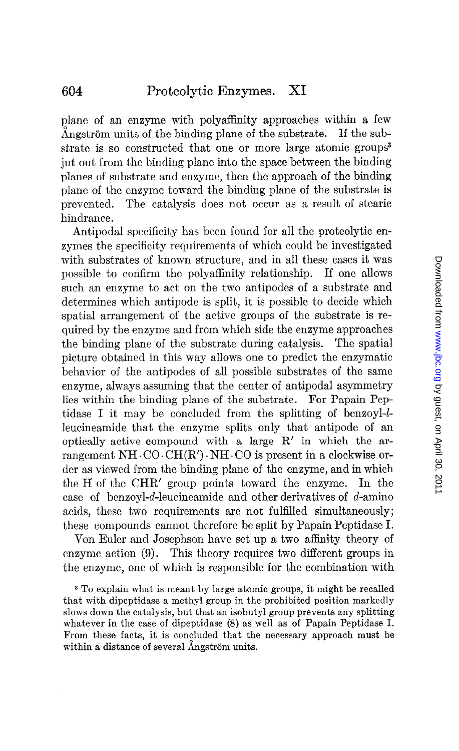plane of an enzyme with polyaffinity approaches within a few Angström units of the binding plane of the substrate. If the substrate is so constructed that one or more large atomic groups<sup>3</sup> jut out from the binding plane into the space between the binding planes of substrate and enzyme, then the approach of the binding plane of the enzyme toward the binding plane of the substrate is prevented. The catalysis does not occur as a result of stearic hindrance.

Antipodal specificity has been found for all the proteolytic enzymes the specificity requirements of which could be investigated with substrates of known structure, and in all these cases it was possible to confirm the polyaffinity relationship. If one allows such an enzyme to act on the two antipodes of a substrate and determines which antipode is split, it is possible to decide which spatial arrangement of the active groups of the substrate is required by the enzyme and from which side the enzyme approaches the binding plane of the substrate during catalysis. The spatial picture obtained in this way allows one to predict the enzymatic behavior of the antipodes of all possible substrates of the same enzyme, always assuming that the center of antipodal asymmetry lies within the binding plane of the substrate. For Papain Peptidase I it may be concluded from the splitting of benzoyl- $l$ leucineamide that the enzyme splits only that antipode of an optically active compound with a large R' in which the arrangement NH $\cdot$ CO $\cdot$ CH $(R')\cdot$ NH $\cdot$ CO is present in a clockwise order as viewed from the binding plane of the enzyme, and in which the H of the CHR' group points toward the enzyme. In the case of benzoyl-d-leucineamide and other derivatives of d-amino acids, these two requirements are not fulfilled simultaneously; these compounds cannot therefore be split by Papain Peptidase I.

Van Euler and Josephson have set'up a two affinity theory of enzyme action (9). This theory requires two different groups in the enzyme, one of which is responsible for the combination with

3 To explain what is meant by large atomic groups, it might be recalled that with dipeptidase a methyl group in the prohibited position markedly slows down the catalysis, but that an isobutyl group prevents any splitting whatever in the case of dipeptidase (8) as well as of Papain Peptidase I. From these facts, it is concluded that the necessary approach must be within a distance of several Angström units.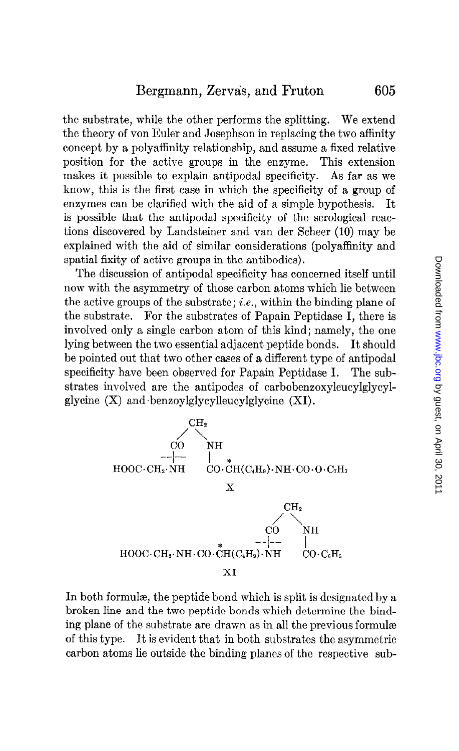the substrate, while the other performs the splitting. We extend the theory of von Euler and Josephson in replacing the two affinity concept by a polyaffinity relationship, and assume a fixed relative position for the active groups in the enzyme. This extension makes it possible to explain antipodal specificity. As far as we know, this is the first case in which the specificity of a group of enzymes can be clarified with the aid of a simple hypothesis. It is possible that the antipodal specificity of the serological reactions discovered by Landsteiner and van der Scheer (10) may be explained with the aid of similar considerations (polyaffinity and spatial fixity of active groups in the antibodies).

The discussion of antipodal specificity has concerned itself until now with the asymmetry of those carbon atoms which lie between the active groups of the substrate; *i.e.*, within the binding plane of the substrate. For the substrates of Papain Peptidase I, there is involved only a single carbon atom of this kind; namely, the one lying between the two essential adjacent peptide bonds. It should be pointed out that two other cases of a different type of antipodal specificity have been observed for Papain Peptidase I. The substrates involved are the antipodes of carbobenzoxyleucylglycylglycine  $(X)$  and benzoylglycylleucylglycine  $(XI)$ .



In both formula, the peptide bond which is split is designated by a broken line and the two peptide bonds which determine the binding plane of the substrate are drawn as in all the previous formulae of this type. It is evident that in both substrates the asymmetric carbon atoms lie outside the binding planes of the respective sub-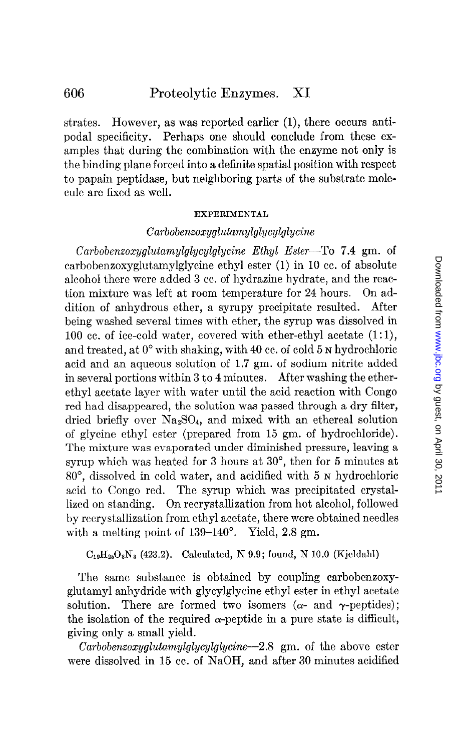strates. However, as was reported earlier (1), there occurs antipodal specificity. Perhaps one should conclude from these examples that during the combination with the enzyme not only is the binding plane forced into a definite spatial position with respect to papain peptidase, but neighboring parts of the substrate molecule are fixed as well.

#### **EXPERIMENTAL**

### Carbobenzoxyglutamylglycylglycine

Carbobenxoxyglutamylglycylglycine Ethyl Ester-To 7.4 gm. of carbobenzoxyglutamylglycine ethyl ester (1) in 10 cc. of absolute alcohol there were added 3 cc. of hydrazine hydrate, and the reaction mixture was left at room temperature for 24 hours. On addition of anhydrous ether, a syrupy precipitate resulted. After being washed several times with ether, the syrup was dissolved in 100 cc. of ice-cold water, covered with ether-ethyl acetate  $(1:1)$ , and treated, at 0' with shaking, with 40 cc. of cold 5 N hydrochloric acid and an aqueous solution of 1.7 gm. of sodium nitrite added in several portions within 3 to 4 minutes. After washing the etherethyl acetate layer with water until the acid reaction with Congo red had disappeared, the solution was passed through a dry filter, dried briefly over Na2S04, and mixed with an ethereal solution of glycine ethyl ester (prepared from 15 gm. of hydrochloride). The mixture was evaporated under diminished pressure, leaving a syrup which was heated for  $3$  hours at  $30^{\circ}$ , then for  $5$  minutes at 80", dissolved in cold water, and acidified with 5 N hydrochloric acid to Congo red. The syrup which was precipitated crystallized on standing. On recrystallization from hot alcohol, followed by recrystallization from ethyl acetate, there were obtained needles with a melting point of  $139-140^{\circ}$ . Yield, 2.8 gm.

 $C_{19}H_{25}O_8N_3$  (423.2). Calculated, N 9.9; found, N 10.0 (Kjeldahl)

The same substance is obtained by coupling carbobenzoxyglutamyl anhydride with glycylglycine ethyl ester in ethyl acetate solution. There are formed two isomers  $(\alpha$ - and  $\gamma$ -peptides); the isolation of the required  $\alpha$ -peptide in a pure state is difficult, giving only a small yield.

 $Carbobenzoxyglutamylglycylglycine-2.8 g$  m. of the above ester were dissolved in 15 cc. of NaOH, and after 30 minutes acidified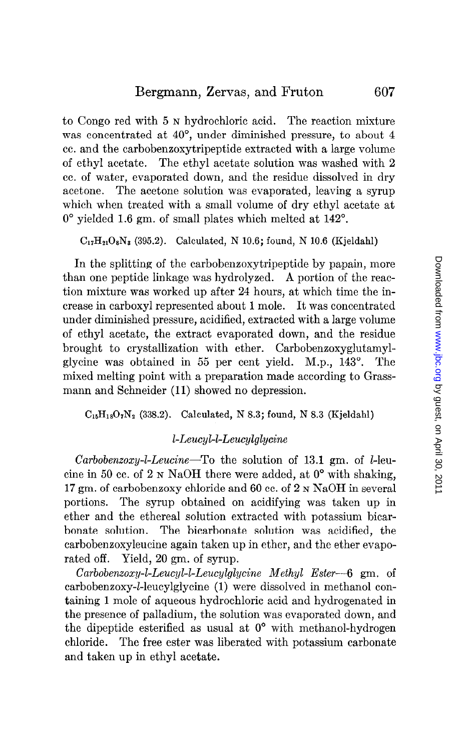to Congo red with 5 N hydrochloric acid. The reaction mixture was concentrated at 40°, under diminished pressure, to about 4 cc. and the carbobenzoxytripeptide extracted with a large volume of ethyl acetate. The ethyl acetate solution was washed with 2 cc. of water, evaporated down, and the residue dissolved in dry acetone. The acetone solution was evaporated, leaving a syrup which when treated with a small volume of dry ethyl acetate at  $0^{\circ}$  yielded 1.6 gm. of small plates which melted at  $142^{\circ}$ .

 $C_{17}H_{21}O_8N_3$  (395.2). Calculated, N 10.6; found, N 10.6 (Kjeldahl)

In the splitting of the carbobenzoxytripeptide by papain, more than one peptide linkage was hydrolyzed. A portion of the reaction mixture was worked up after 24 hours, at which time the increase in carboxyl represented about 1 mole. It was concentrated under diminished pressure, acidified, extracted with a large volume of ethyl acetate, the extract evaporated down, and the residue brought to crystallization with ether. Carbobenzoxyglutamylglycine was obtained in 55 per cent yield. M.p., 143'. The mixed melting point with a preparation made according to Grassmann and Schneider (11) showed no depression.

 $C_{16}H_{18}O_7N_2$  (338.2). Calculated, N 8.3; found, N 8.3 (Kjeldahl)

## l-Leucyl-l-Leucylglycine

Carbobenzoxy-l-Leucine-To the solution of 13.1 gm. of l-leucine in 50 cc. of 2 N NaOH there were added, at  $0^{\circ}$  with shaking, 17 gm. of carbobenzoxy chloride and 60 cc. of 2 N NaOH in several portions. The syrup obtained on acidifying was taken up in ether and the ethereal solution extracted with potassium bicarbonate solution. The bicarbonate solution was acidified, the carbobenzoxyleucine again taken up in ether, and the ether evaporated off. Yield, 20 gm. of syrup.

Carbobenzoxy-1-Leucyl-1-Leucylglycine Methyl Ester-6 gm. of carbobenzoxy-1-leucylglycine (1) were dissolved in methanol containing 1 mole of aqueous hydrochloric acid and hydrogenated in the presence of palladium, the solution was evaporated down, and the dipeptide esterified as usual at  $0^{\circ}$  with methanol-hydrogen chloride. The free ester was liberated with potassium carbonate and taken up in ethyl acetate.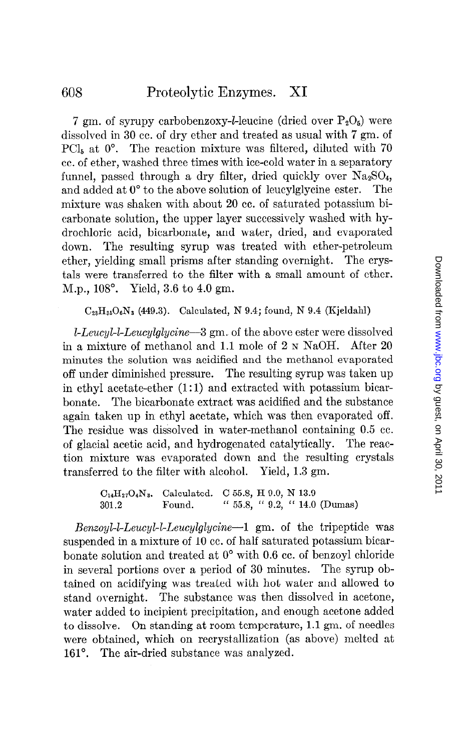7 gm. of syrupy carbobenzoxy-*l*-leucine (dried over  $P_2O_5$ ) were dissolved in 30 cc. of dry ether and treated as usual with 7 gm. of PCI<sub>5</sub> at  $0^{\circ}$ . The reaction mixture was filtered, diluted with 70 cc. of ether, washed three times with ice-cold water in a separatory funnel, passed through a dry filter, dried quickly over  $Na<sub>2</sub>SO<sub>4</sub>$ , and added at  $0^{\circ}$  to the above solution of leucylglycine ester. The mixture was shaken with about 20 cc. of saturated potassium bicarbonate solution, the upper layer successively washed with hydrochloric acid, bicarbonate, and water, dried, and evaporated down. The resulting syrup was treated with ether-petroleum ether, yielding small prisms after standing overnight. The crystals were transferred to the filter with a small amount of ether. M.p., 108". Yield, 3.6 to 4.0 gm.

## $C_{23}H_{35}O_6N_3$  (449.3). Calculated, N 9.4; found, N 9.4 (Kjeldahl)

 $l$ -Leucyl-l-Leucylglycine-3 gm. of the above ester were dissolved in a mixture of methanol and 1.1 mole of 2 N NaOH. After 20 minutes the solution was acidified and the methanol evaporated off under diminished pressure. The resulting syrup was taken up in ethyl acetate-ether  $(1:1)$  and extracted with potassium bicarbonate. The bicarbonate extract was acidified and the substance again taken up in ethyl acetate, which was then evaporated off. The residue was dissolved in water-methanol containing 0.5 cc. of glacial acetic acid, and hydrogenated catalytically. The reaction mixture was evaporated down and the resulting crystals transferred to the filter with alcohol. Yield, 1.3 gm.

> $C_{14}H_{27}O_4N_3$ . Calculated. C 55.8, H 9.0, N 13.9 301.2 Found. " 55.8, " 9.2, " 14.0 (Dumas)

Benzoyl-l-Leucyl-I-Leucylglycine-1 gm. of the tripeptide was suspended in a mixture of 10 cc. of half saturated potassium bicarbonate solution and treated at 0" with 0.6 cc. of benzoyl chloride in several portions over a period of 30 minutes. The syrup obtained on acidifying was treated with hot water and allowed to stand overnight. The substance was then dissolved in acetone, water added to incipient precipitation, and enough acetone added to dissolve. On standing at room temperature, 1.1 gm. of needles were obtained, which on recrystallization (as above) melted at 161°. The air-dried substance was analyzed.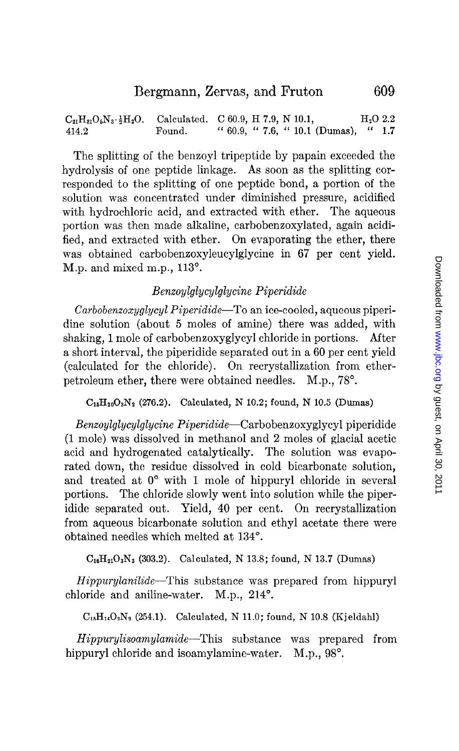$C_{21}H_{31}O_5N_3 \cdot \frac{1}{2}H_2O$ . Calculated. C 60.9, H 7.9, N 10.1,  $H_2O$  2.2 414.2 Found. " 60.9, " 7.6, " 10.1 (Dumas), " 1.7

The splitting of the benzoyl tripeptide by papain exceeded the hydrolysis of one peptide linkage. As soon as the splitting corresponded to the splitting of one peptide bond, a portion of the solution was concentrated under diminished pressure, acidified with hydrochloric acid, and extracted with ether. The aqueous portion was then made alkaline, carbobenzoxylated, again acidified, and extracted with ether. On evaporating the ether, there was obtained carbobenzoxyleucylglycine in 67 per cent yield. M.p. and mixed m.p., 113°.

# Benzoylglycylglycine Piperidide

 $Carbobenzoxyglycyl Piperidide$ —To an ice-cooled, aqueous piperidine solution (about 5 moles of amine) there was added, with shaking, 1 mole of carbobenzoxyglycyl chloride in portions. After a short interval, the piperidide separated out in a 60 per cent yield (calculated for the chloride). On recrystallization from etherpetroleum ether, there were obtained needles. M.p., 78".

 $C_{15}H_{20}O_3N_2$  (276.2). Calculated, N 10.2; found, N 10.5 (Dumas)

Benzoylglycylglycine Piperidide-Carbobenzoxyglycyl piperidide (1 mole) was dissolved in methanol and 2 moles of glacial acetic acid and hydrogenated catalytically. The solution was evaporated down, the residue dissolved in cold bicarbonate solution, and treated at  $0^{\circ}$  with 1 mole of hippuryl chloride in several portions. The chloride slowly went into solution while the piperidide separated out. Yield, 40 per cent. On recrystallization from aqueous bicarbonate solution and ethyl acetate there were obtained needles which melted at 134".

 $C_{16}H_{21}O_3N_3$  (303.2). Calculated, N 13.8; found, N 13.7 (Dumas)

Hippurylanilide-This substance was prepared from hippuryl chloride and aniline-water. M.p., 214°.

 $C_{15}H_{14}O_2N_2$  (254.1). Calculated, N 11.0; found, N 10.8 (Kjeldahl)

Hippurylisoamylamide-This substance was prepared from hippuryl chloride and isoamylamine-water. M.p., 98<sup>°</sup>.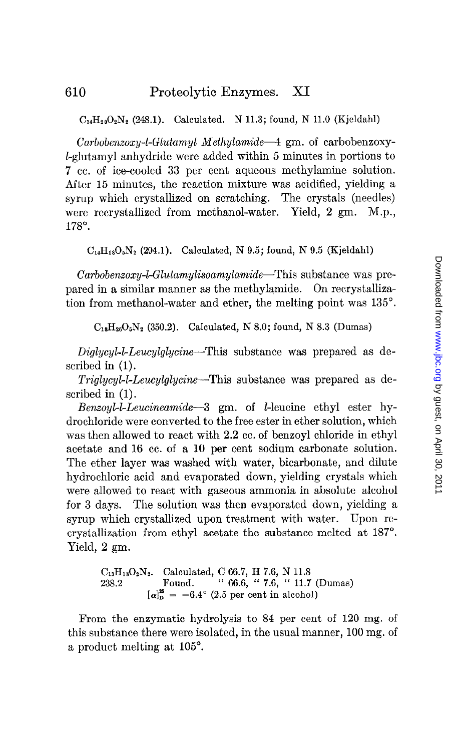$C_{14}H_{20}O_2N_2$  (248.1). Calculated. N 11.3; found, N 11.0 (Kjeldahl)

 $Carbobenzoxy-L-Glutamyl Methylamide-4 gm. of carbobenzoxy-$ Lglutamyl anhydride were added within 5 minutes in portions to 7 cc. of ice-cooled 33 per cent aqueous methylamine solution. After 15 minutes, the reaction mixture was acidified, yielding a syrup which crystallized on scratching. The crystals (needles) were recrystallized from methanol-water. Yield, 2 gm. M.p., 178".

 $C_{14}H_{18}O_5N_2$  (294.1). Calculated, N 9.5; found, N 9.5 (Kjeldahl)

Carbobenzoxy-bGlutamylisoamylamide-This substance was prepared in a similar manner as the methylamide. On recrystallization from methanol-water and ether, the melting point was 135".

 $C_{18}H_{26}O_5N_2$  (350.2). Calculated, N 8.0; found, N 8.3 (Dumas)

Diglycyl-l-Leucylglycine-This substance was prepared as described in (1).

Triglycyl-l-Leucylglycine-This substance was prepared as described in (1).

Benzoyl-LLeucineamide-3 gm. of l-leucine ethyl ester hydrochloride were converted to the free ester in ether solution, which was then allowed to react with 2.2 cc. of benzoyl chloride in ethyl acetate and 16 cc. of a 10 per cent sodium carbonate solution. The ether layer was washed with water, bicarbonate, and dilute hydrochloric acid and evaporated down, yielding crystals which were allowed to react with gaseous ammonia in absolute alcohol for 3 days. The solution was then evaporated down, yielding a syrup which crystallized upon treatment with water. Upon recrystallization from ethyl acetate the substance melted at 187". Yield, 2 gm.

> $C_{13}H_{18}O_2N_2$ . Calculated, C 66.7, H 7.6, N 11.8 238.2 Found. " 66.6, " 7.6, " 11.7 (Dumas)  $\left[\alpha\right]_D^{25} = -6.4^\circ$  (2.5 per cent in alcohol)

From the enzymatic hydrolysis to 84 per cent of 120 mg. of this substance there were isolated, in the usual manner, 100 mg. of a product melting at 105".